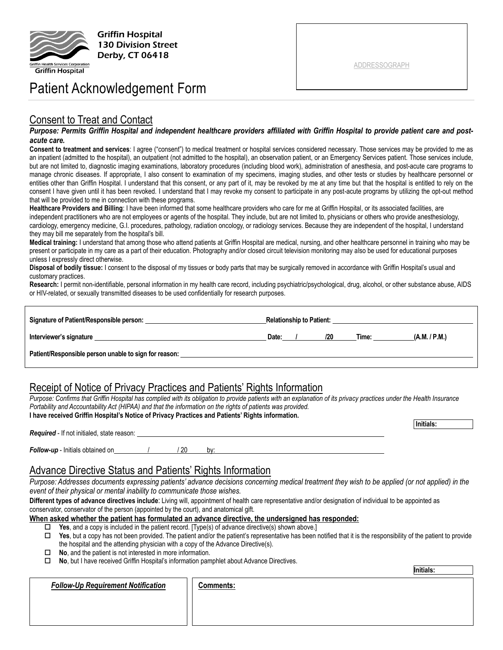

Griffin Hospital 130 Division Street Derby, CT 06418

# Patient Acknowledgement Form

## Consent to Treat and Contact

#### *Purpose: Permits Griffin Hospital and independent healthcare providers affiliated with Griffin Hospital to provide patient care and postacute care.*

**Consent to treatment and services**: I agree ("consent") to medical treatment or hospital services considered necessary. Those services may be provided to me as an inpatient (admitted to the hospital), an outpatient (not admitted to the hospital), an observation patient, or an Emergency Services patient. Those services include, but are not limited to, diagnostic imaging examinations, laboratory procedures (including blood work), administration of anesthesia, and post-acute care programs to manage chronic diseases. If appropriate, I also consent to examination of my specimens, imaging studies, and other tests or studies by healthcare personnel or entities other than Griffin Hospital. I understand that this consent, or any part of it, may be revoked by me at any time but that the hospital is entitled to rely on the consent I have given until it has been revoked. I understand that I may revoke my consent to participate in any post-acute programs by utilizing the opt-out method that will be provided to me in connection with these programs.

**Healthcare Providers and Billing**: I have been informed that some healthcare providers who care for me at Griffin Hospital, or its associated facilities, are independent practitioners who are not employees or agents of the hospital. They include, but are not limited to, physicians or others who provide anesthesiology, cardiology, emergency medicine, G.I. procedures, pathology, radiation oncology, or radiology services. Because they are independent of the hospital, I understand they may bill me separately from the hospital's bill.

**Medical training:** I understand that among those who attend patients at Griffin Hospital are medical, nursing, and other healthcare personnel in training who may be present or participate in my care as a part of their education. Photography and/or closed circuit television monitoring may also be used for educational purposes unless I expressly direct otherwise.

**Disposal of bodily tissue:** I consent to the disposal of my tissues or body parts that may be surgically removed in accordance with Griffin Hospital's usual and customary practices.

**Research:** I permit non-identifiable, personal information in my health care record, including psychiatric/psychological, drug, alcohol, or other substance abuse, AIDS or HIV-related, or sexually transmitted diseases to be used confidentially for research purposes.

| Signature of Patient/Responsible person:              | <b>Relationship to Patient:</b> |  |     |       |               |
|-------------------------------------------------------|---------------------------------|--|-----|-------|---------------|
| Interviewer's signature                               | Date:                           |  | 120 | Time: | (A.M. / P.M.) |
| Patient/Responsible person unable to sign for reason: |                                 |  |     |       |               |

# Receipt of Notice of Privacy Practices and Patients' Rights Information

*Purpose: Confirms that Griffin Hospital has complied with its obligation to provide patients with an explanation of its privacy practices under the Health Insurance Portability and Accountability Act (HIPAA) and that the information on the rights of patients was provided.*

| I have received Griffin Hospital's Notice of Privacy Practices and Patients' Rights information. |           |
|--------------------------------------------------------------------------------------------------|-----------|
|                                                                                                  | Initials: |
| <b>Required</b> - If not initialed, state reason:                                                |           |
|                                                                                                  |           |

| Follow-up - Initials obtained on | / 20 | bv: |
|----------------------------------|------|-----|
|                                  |      |     |

### Advance Directive Status and Patients' Rights Information

*Purpose: Addresses documents expressing patients' advance decisions concerning medical treatment they wish to be applied (or not applied) in the event of their physical or mental inability to communicate those wishes.*

**Different types of advance directives include**: Living will, appointment of health care representative and/or designation of individual to be appointed as conservator, conservator of the person (appointed by the court), and anatomical gift.

#### **When asked whether the patient has formulated an advance directive, the undersigned has responded:**

- **Yes**, and a copy is included in the patient record. [Type(s) of advance directive(s) shown above.]
- $\Box$  Yes, but a copy has not been provided. The patient and/or the patient's representative has been notified that it is the responsibility of the patient to provide the hospital and the attending physician with a copy of the Advance Directive(s).
- **No**, and the patient is not interested in more information.
- **No**, but I have received Griffin Hospital's information pamphlet about Advance Directives.

*Follow-Up Requirement Notification* | | Comments:

ADDRESSOGRAPH

**Initials:**